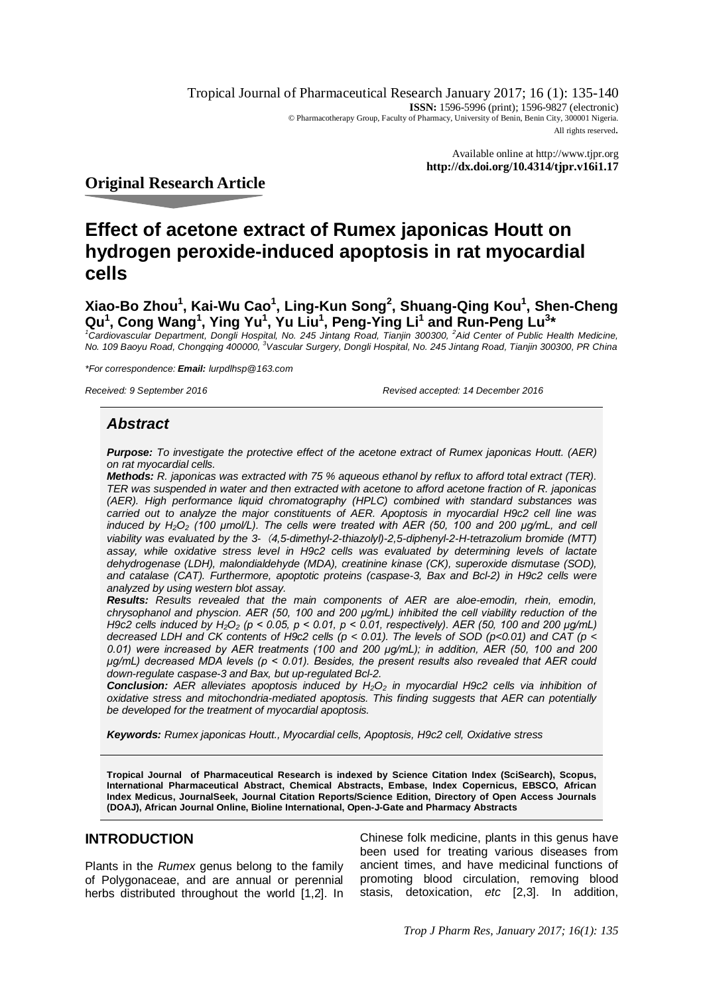Tropical Journal of Pharmaceutical Research January 2017; 16 (1): 135-140 **ISSN:** 1596-5996 (print); 1596-9827 (electronic) © Pharmacotherapy Group, Faculty of Pharmacy, University of Benin, Benin City, 300001 Nigeria. All rights reserved.

> Available online at <http://www.tjpr.org> **<http://dx.doi.org/10.4314/tjpr.v16i1.17>**

**Original Research Article**

# **Effect of acetone extract of Rumex japonicas Houtt on hydrogen peroxide-induced apoptosis in rat myocardial cells**

**Xiao-Bo Zhou<sup>1</sup> , Kai-Wu Cao<sup>1</sup> , Ling-Kun Song<sup>2</sup> , Shuang-Qing Kou<sup>1</sup> , Shen-Cheng Qu<sup>1</sup> , Cong Wang<sup>1</sup> , Ying Yu<sup>1</sup> , Yu Liu<sup>1</sup> , Peng-Ying Li<sup>1</sup> and Run-Peng Lu<sup>3</sup> \***

<sup>1</sup>Cardiovascular Department, Dongli Hospital, No. 245 Jintang Road, Tianjin 300300, <sup>2</sup>Aid Center of Public Health Medicine,<br>No. 109 Baoyu Road, Chongqing 400000, <sup>3</sup>Vascular Surgery, Dongli Hospital, No. 245 Jintang Road

*\*For correspondence: Email: [lurpdlhsp@163.com](mailto:lurpdlhsp@163.com)*

*Received: 9 September 2016 Revised accepted: 14 December 2016*

# *Abstract*

*Purpose: To investigate the protective effect of the acetone extract of Rumex japonicas Houtt. (AER) on rat myocardial cells.*

*Methods: R. japonicas was extracted with 75 % aqueous ethanol by reflux to afford total extract (TER). TER was suspended in water and then extracted with acetone to afford acetone fraction of R. japonicas (AER). High performance liquid chromatography (HPLC) combined with standard substances was carried out to analyze the major constituents of AER. Apoptosis in myocardial H9c2 cell line was induced by H2O<sup>2</sup> (100 μmol/L). The cells were treated with AER (50, 100 and 200 μg/mL, and cell viability was evaluated by the 3-(4,5-dimethyl-2-thiazolyl)-2,5-diphenyl-2-H-tetrazolium bromide (MTT) assay, while oxidative stress level in H9c2 cells was evaluated by determining levels of lactate dehydrogenase (LDH), malondialdehyde (MDA), creatinine kinase (CK), superoxide dismutase (SOD), and catalase (CAT). Furthermore, apoptotic proteins (caspase-3, Bax and Bcl-2) in H9c2 cells were analyzed by using western blot assay.* 

*Results: Results revealed that the main components of AER are aloe-emodin, rhein, emodin, chrysophanol and physcion. AER (50, 100 and 200 μg/mL) inhibited the cell viability reduction of the H9c2 cells induced by H2O<sup>2</sup> (p < 0.05, p < 0.01, p < 0.01, respectively). AER (50, 100 and 200 μg/mL) decreased LDH and CK contents of H9c2 cells (p < 0.01). The levels of SOD (p<0.01) and CAT (p < 0.01) were increased by AER treatments (100 and 200 μg/mL); in addition, AER (50, 100 and 200 μg/mL) decreased MDA levels (p < 0.01). Besides, the present results also revealed that AER could down-regulate caspase-3 and Bax, but up-regulated Bcl-2.* 

*Conclusion: AER alleviates apoptosis induced by H2O<sup>2</sup> in myocardial H9c2 cells via inhibition of oxidative stress and mitochondria-mediated apoptosis. This finding suggests that AER can potentially be developed for the treatment of myocardial apoptosis.* 

*Keywords: Rumex japonicas Houtt., Myocardial cells, Apoptosis, H9c2 cell, Oxidative stress*

**Tropical Journal of Pharmaceutical Research is indexed by Science Citation Index (SciSearch), Scopus, International Pharmaceutical Abstract, Chemical Abstracts, Embase, Index Copernicus, EBSCO, African Index Medicus, JournalSeek, Journal Citation Reports/Science Edition, Directory of Open Access Journals (DOAJ), African Journal Online, Bioline International, Open-J-Gate and Pharmacy Abstracts**

# **INTRODUCTION**

Plants in the *Rumex* genus belong to the family of Polygonaceae, and are annual or perennial herbs distributed throughout the world [1,2]. In

Chinese folk medicine, plants in this genus have been used for treating various diseases from ancient times, and have medicinal functions of promoting blood circulation, removing blood stasis, detoxication, *etc* [2,3]. In addition,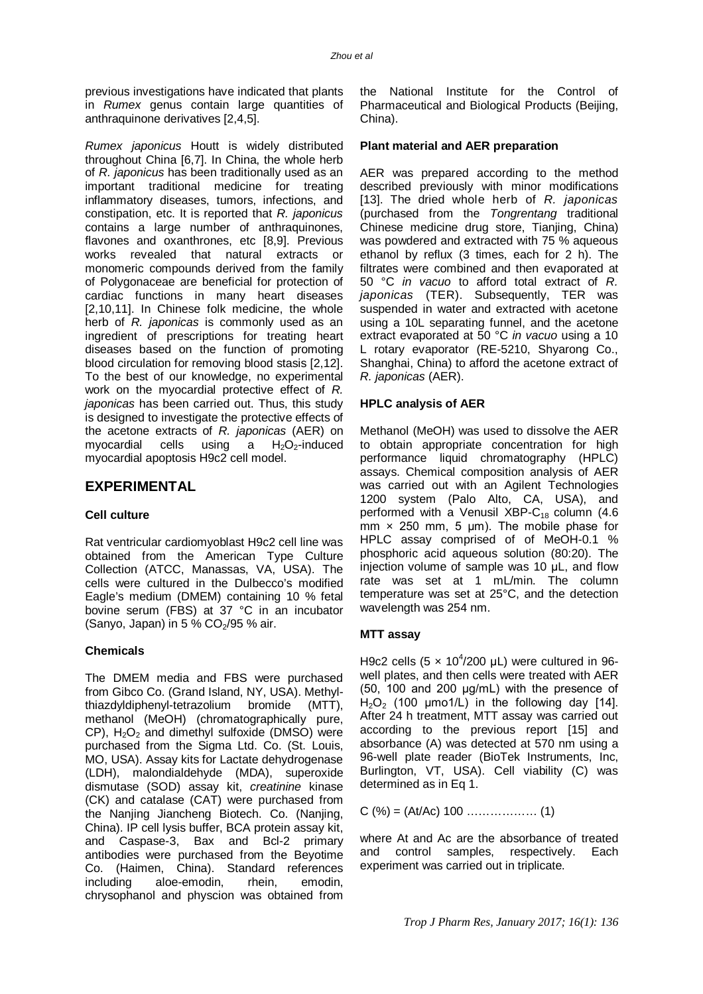previous investigations have indicated that plants in *Rumex* genus contain large quantities of anthraquinone derivatives [2,4,5].

*Rumex japonicus* Houtt is widely distributed throughout China [6,7]. In China, the whole herb of *R. japonicus* has been traditionally used as an important traditional medicine for treating inflammatory diseases, tumors, infections, and constipation, etc. It is reported that *R. japonicus* contains a large number of anthraquinones, flavones and oxanthrones, etc [8,9]. Previous works revealed that natural extracts or monomeric compounds derived from the family of Polygonaceae are beneficial for protection of cardiac functions in many heart diseases [2,10,11]. In Chinese folk medicine, the whole herb of *R. japonicas* is commonly used as an ingredient of prescriptions for treating heart diseases based on the function of promoting blood circulation for removing blood stasis [2,12]. To the best of our knowledge, no experimental work on the myocardial protective effect of *R*. *japonicas* has been carried out. Thus, this study is designed to investigate the protective effects of the acetone extracts of *R. japonicas* (AER) on myocardial cells using a  $H_2O_2$ -induced myocardial apoptosis H9c2 cell model.

# **EXPERIMENTAL**

#### **Cell culture**

Rat ventricular cardiomyoblast H9c2 cell line was obtained from the American Type Culture Collection (ATCC, Manassas, VA, USA). The cells were cultured in the Dulbecco's modified Eagle's medium (DMEM) containing 10 % fetal bovine serum (FBS) at 37 °C in an incubator (Sanyo, Japan) in 5 %  $CO<sub>2</sub>/95$  % air.

# **Chemicals**

The DMEM media and FBS were purchased from Gibco Co. (Grand Island, NY, USA). Methylthiazdyldiphenyl-tetrazolium bromide (MTT), methanol (MeOH) (chromatographically pure,  $CP$ ),  $H_2O_2$  and dimethyl sulfoxide (DMSO) were purchased from the Sigma Ltd. Co. (St. Louis, MO, USA). Assay kits for Lactate dehydrogenase (LDH), malondialdehyde (MDA), superoxide dismutase (SOD) assay kit, *creatinine* kinase (CK) and catalase (CAT) were purchased from the Nanjing Jiancheng Biotech. Co. (Nanjing, China). IP cell lysis buffer, BCA protein assay kit, and Caspase-3, Bax and Bcl-2 primary antibodies were purchased from the Beyotime Co. (Haimen, China). Standard references including aloe-emodin, rhein, emodin, chrysophanol and physcion was obtained from

the National Institute for the Control of Pharmaceutical and Biological Products (Beijing, China).

### **Plant material and AER preparation**

AER was prepared according to the method described previously with minor modifications [13]. The dried whole herb of *R. japonicas* (purchased from the *Tongrentang* traditional Chinese medicine drug store, Tianjing, China) was powdered and extracted with 75 % aqueous ethanol by reflux (3 times, each for 2 h). The filtrates were combined and then evaporated at 50 °C *in vacuo* to afford total extract of *R. japonicas* (TER). Subsequently, TER was suspended in water and extracted with acetone using a 10L separating funnel, and the acetone extract evaporated at 50 °C *in vacuo* using a 10 L rotary evaporator (RE-5210, Shyarong Co., Shanghai, China) to afford the acetone extract of *R. japonicas* (AER).

#### **HPLC analysis of AER**

Methanol (MeOH) was used to dissolve the AER to obtain appropriate concentration for high performance liquid chromatography (HPLC) assays. Chemical composition analysis of AER was carried out with an Agilent Technologies 1200 system (Palo Alto, CA, USA), and performed with a Venusil XBP- $C_{18}$  column (4.6 mm  $\times$  250 mm, 5 µm). The mobile phase for HPLC assay comprised of of MeOH-0.1 % phosphoric acid aqueous solution (80:20). The injection volume of sample was 10 uL, and flow rate was set at 1 mL/min. The column temperature was set at 25°C, and the detection wavelength was 254 nm.

#### **MTT assay**

H9c2 cells  $(5 \times 10^4/200 \,\mu$ L) were cultured in 96well plates, and then cells were treated with AER (50, 100 and 200 μg/mL) with the presence of  $H<sub>2</sub>O<sub>2</sub>$  (100 µmo1/L) in the following day [14]. After 24 h treatment, MTT assay was carried out according to the previous report [15] and absorbance (A) was detected at 570 nm using a 96-well plate reader (BioTek Instruments, Inc, Burlington, VT, USA). Cell viability (C) was determined as in Eq 1.

C (%) = (At/Ac) 100 ……………… (1)

where At and Ac are the absorbance of treated and control samples, respectively. Each experiment was carried out in triplicate.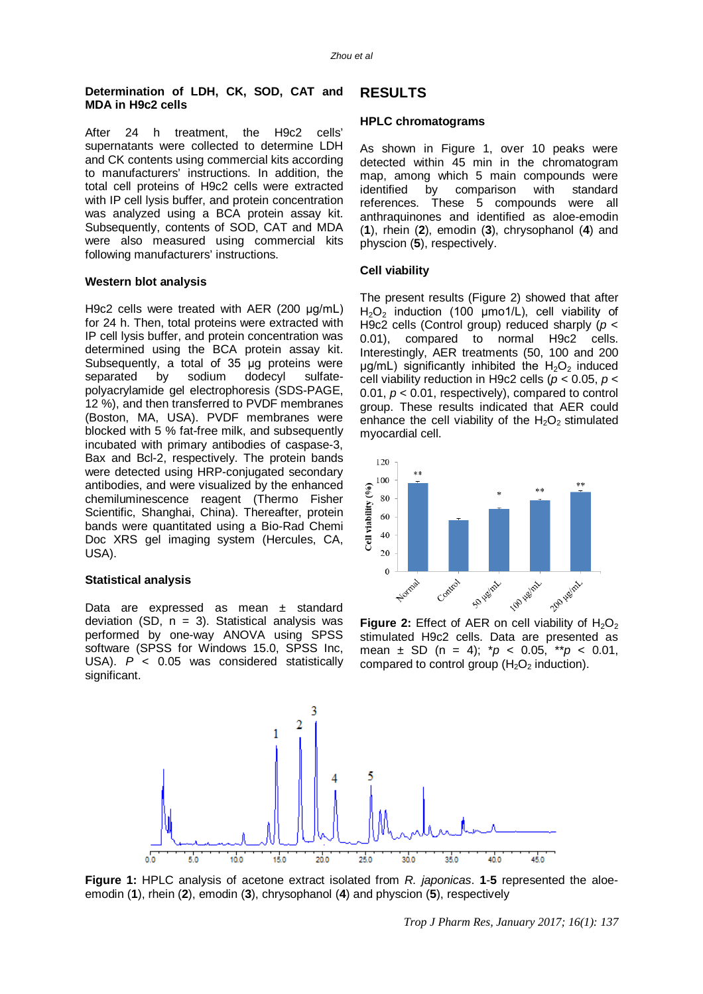#### **Determination of LDH, CK, SOD, CAT and MDA in H9c2 cells**

After 24 h treatment, the H9c2 cells' supernatants were collected to determine LDH and CK contents using commercial kits according to manufacturers' instructions. In addition, the total cell proteins of H9c2 cells were extracted with IP cell lysis buffer, and protein concentration was analyzed using a BCA protein assay kit. Subsequently, contents of SOD, CAT and MDA were also measured using commercial kits following manufacturers' instructions.

#### **Western blot analysis**

H9c2 cells were treated with AER (200 μg/mL) for 24 h. Then, total proteins were extracted with IP cell lysis buffer, and protein concentration was determined using the BCA protein assay kit. Subsequently, a total of 35 μg proteins were separated by sodium dodecyl sulfatepolyacrylamide gel electrophoresis (SDS-PAGE, 12 %), and then transferred to PVDF membranes (Boston, MA, USA). PVDF membranes were blocked with 5 % fat-free milk, and subsequently incubated with primary antibodies of caspase-3, Bax and Bcl-2, respectively. The protein bands were detected using HRP-conjugated secondary antibodies, and were visualized by the enhanced chemiluminescence reagent (Thermo Fisher Scientific, Shanghai, China). Thereafter, protein bands were quantitated using a Bio-Rad Chemi Doc XRS gel imaging system (Hercules, CA, USA).

#### **Statistical analysis**

Data are expressed as mean ± standard deviation (SD,  $n = 3$ ). Statistical analysis was performed by one-way ANOVA using SPSS software (SPSS for Windows 15.0, SPSS Inc, USA). *P* < 0.05 was considered statistically significant.

#### **RESULTS**

#### **HPLC chromatograms**

As shown in Figure 1, over 10 peaks were detected within 45 min in the chromatogram map, among which 5 main compounds were identified by comparison with standard references. These 5 compounds were all anthraquinones and identified as aloe-emodin (**1**), rhein (**2**), emodin (**3**), chrysophanol (**4**) and physcion (**5**), respectively.

#### **Cell viability**

The present results (Figure 2) showed that after  $H_2O_2$  induction (100 µmo1/L), cell viability of H9c2 cells (Control group) reduced sharply (*p* < 0.01), compared to normal H9c2 cells. Interestingly, AER treatments (50, 100 and 200  $\mu$ g/mL) significantly inhibited the H<sub>2</sub>O<sub>2</sub> induced cell viability reduction in H9c2 cells (*p* < 0.05, *p* < 0.01, *p* < 0.01, respectively), compared to control group. These results indicated that AER could enhance the cell viability of the  $H_2O_2$  stimulated myocardial cell.



**Figure 2:** Effect of AER on cell viability of  $H_2O_2$ stimulated H9c2 cells. Data are presented as mean ± SD (n = 4); \**p* < 0.05, \*\**p* < 0.01, compared to control group  $(H<sub>2</sub>O<sub>2</sub>)$  induction).



**Figure 1:** HPLC analysis of acetone extract isolated from *R. japonicas*. **1**-**5** represented the aloeemodin (**1**), rhein (**2**), emodin (**3**), chrysophanol (**4**) and physcion (**5**), respectively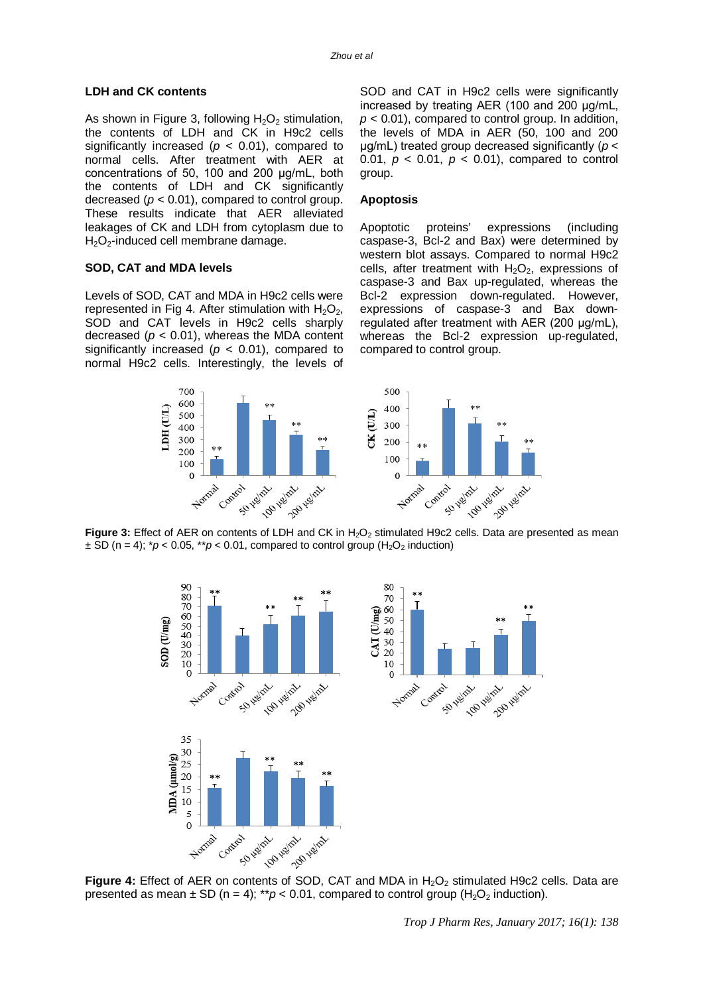#### **LDH and CK contents**

As shown in Figure 3, following  $H_2O_2$  stimulation, the contents of LDH and CK in H9c2 cells significantly increased ( $p < 0.01$ ), compared to normal cells. After treatment with AER at concentrations of 50, 100 and 200 μg/mL, both the contents of LDH and CK significantly decreased  $(p < 0.01)$ , compared to control group. These results indicate that AER alleviated leakages of CK and LDH from cytoplasm due to  $H<sub>2</sub>O<sub>2</sub>$ -induced cell membrane damage.

#### **SOD, CAT and MDA levels**

Levels of SOD, CAT and MDA in H9c2 cells were represented in Fig 4. After stimulation with  $H_2O_2$ , SOD and CAT levels in H9c2 cells sharply decreased  $(p < 0.01)$ , whereas the MDA content significantly increased ( $p < 0.01$ ), compared to normal H9c2 cells. Interestingly, the levels of

SOD and CAT in H9c2 cells were significantly increased by treating AER (100 and 200 μg/mL, *p* < 0.01), compared to control group. In addition, the levels of MDA in AER (50, 100 and 200 μg/mL) treated group decreased significantly (*p* < 0.01,  $p < 0.01$ ,  $p < 0.01$ ), compared to control group.

#### **Apoptosis**

Apoptotic proteins' expressions (including caspase-3, Bcl-2 and Bax) were determined by western blot assays. Compared to normal H9c2 cells, after treatment with  $H_2O_2$ , expressions of caspase-3 and Bax up-regulated, whereas the Bcl-2 expression down-regulated. However, expressions of caspase-3 and Bax downregulated after treatment with AER (200 μg/mL), whereas the Bcl-2 expression up-regulated, compared to control group.



**Figure 3:** Effect of AER on contents of LDH and CK in H<sub>2</sub>O<sub>2</sub> stimulated H9c2 cells. Data are presented as mean  $\pm$  SD (n = 4);  $p$  < 0.05,  $p$  < 0.01, compared to control group (H<sub>2</sub>O<sub>2</sub> induction)



**Figure 4:** Effect of AER on contents of SOD, CAT and MDA in H<sub>2</sub>O<sub>2</sub> stimulated H9c2 cells. Data are presented as mean  $\pm$  SD (n = 4); \*\*p < 0.01, compared to control group (H<sub>2</sub>O<sub>2</sub> induction).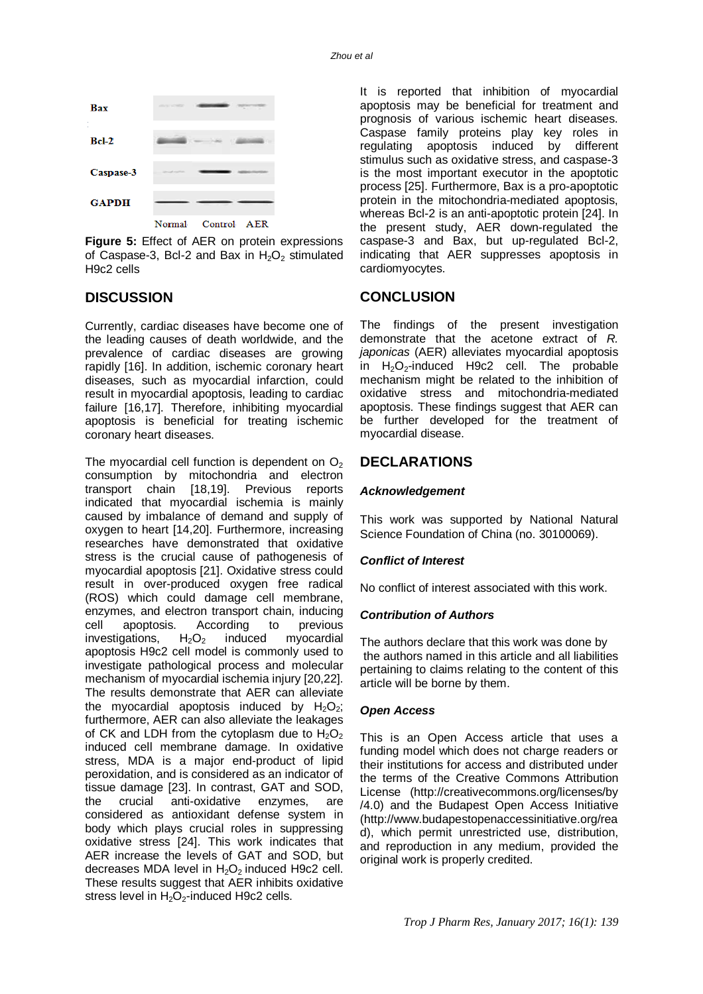

**Figure 5:** Effect of AER on protein expressions of Caspase-3, Bcl-2 and Bax in  $H_2O_2$  stimulated H9c2 cells

# **DISCUSSION**

Currently, cardiac diseases have become one of the leading causes of death worldwide, and the prevalence of cardiac diseases are growing rapidly [16]. In addition, ischemic coronary heart diseases, such as myocardial infarction, could result in myocardial apoptosis, leading to cardiac failure [16,17]. Therefore, inhibiting myocardial apoptosis is beneficial for treating ischemic coronary heart diseases.

The myocardial cell function is dependent on  $O<sub>2</sub>$ consumption by mitochondria and electron transport chain [18,19]. Previous reports indicated that myocardial ischemia is mainly caused by imbalance of demand and supply of oxygen to heart [14,20]. Furthermore, increasing researches have demonstrated that oxidative stress is the crucial cause of pathogenesis of myocardial apoptosis [21]. Oxidative stress could result in over-produced oxygen free radical (ROS) which could damage cell membrane, enzymes, and electron transport chain, inducing cell apoptosis. According to previous investigations,  $H_2O_2$  induced myocardial apoptosis H9c2 cell model is commonly used to investigate pathological process and molecular mechanism of myocardial ischemia injury [20,22]. The results demonstrate that AER can alleviate the myocardial apoptosis induced by  $H_2O_2$ ; furthermore, AER can also alleviate the leakages of CK and LDH from the cytoplasm due to  $H_2O_2$ induced cell membrane damage. In oxidative stress, MDA is a major end-product of lipid peroxidation, and is considered as an indicator of tissue damage [23]. In contrast, GAT and SOD, the crucial anti-oxidative enzymes, are considered as antioxidant defense system in body which plays crucial roles in suppressing oxidative stress [24]. This work indicates that AER increase the levels of GAT and SOD, but decreases MDA level in  $H_2O_2$  induced H9c2 cell. These results suggest that AER inhibits oxidative stress level in  $H_2O_2$ -induced H9c2 cells.

It is reported that inhibition of myocardial apoptosis may be beneficial for treatment and prognosis of various ischemic heart diseases. Caspase family proteins play key roles in regulating apoptosis induced by different stimulus such as oxidative stress, and caspase-3 is the most important executor in the apoptotic process [25]. Furthermore, Bax is a pro-apoptotic protein in the mitochondria-mediated apoptosis, whereas Bcl-2 is an anti-apoptotic protein [24]. In the present study, AER down-regulated the caspase-3 and Bax, but up-regulated Bcl-2, indicating that AER suppresses apoptosis in cardiomyocytes.

# **CONCLUSION**

The findings of the present investigation demonstrate that the acetone extract of *R. japonicas* (AER) alleviates myocardial apoptosis in  $H_2O_2$ -induced H9c2 cell. The probable mechanism might be related to the inhibition of oxidative stress and mitochondria-mediated apoptosis. These findings suggest that AER can be further developed for the treatment of myocardial disease.

# **DECLARATIONS**

# *Acknowledgement*

This work was supported by National Natural Science Foundation of China (no. 30100069).

# *Conflict of Interest*

No conflict of interest associated with this work.

# *Contribution of Authors*

The authors declare that this work was done by the authors named in this article and all liabilities pertaining to claims relating to the content of this article will be borne by them.

# *Open Access*

This is an Open Access article that uses a funding model which does not charge readers or their institutions for access and distributed under the terms of the Creative Commons Attribution License [\(http://creativecommons.org/licenses/by](http://creativecommons.org/licenses/by) /4.0) and the Budapest Open Access Initiative [\(http://www.budapestopenaccessinitiative.org/rea](http://www.budapestopenaccessinitiative.org/rea) d), which permit unrestricted use, distribution, and reproduction in any medium, provided the original work is properly credited.